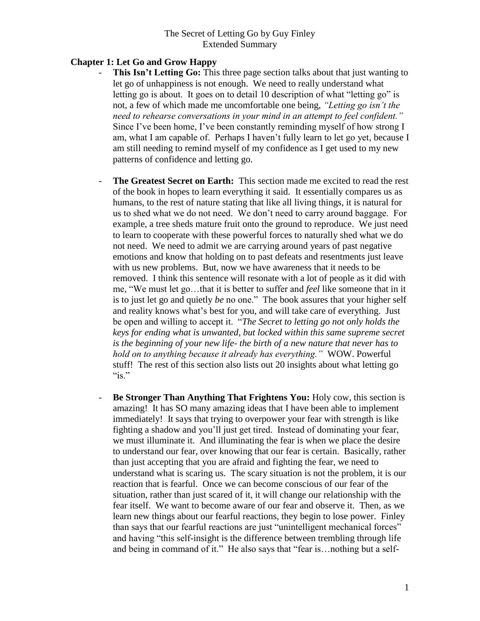## **Chapter 1: Let Go and Grow Happy**

- **This Isn't Letting Go:** This three page section talks about that just wanting to let go of unhappiness is not enough. We need to really understand what letting go is about. It goes on to detail 10 description of what "letting go" is not, a few of which made me uncomfortable one being, *"Letting go isn't the need to rehearse conversations in your mind in an attempt to feel confident."* Since I've been home, I've been constantly reminding myself of how strong I am, what I am capable of. Perhaps I haven't fully learn to let go yet, because I am still needing to remind myself of my confidence as I get used to my new patterns of confidence and letting go.
- The Greatest Secret on Earth: This section made me excited to read the rest of the book in hopes to learn everything it said. It essentially compares us as humans, to the rest of nature stating that like all living things, it is natural for us to shed what we do not need. We don't need to carry around baggage. For example, a tree sheds mature fruit onto the ground to reproduce. We just need to learn to cooperate with these powerful forces to naturally shed what we do not need. We need to admit we are carrying around years of past negative emotions and know that holding on to past defeats and resentments just leave with us new problems. But, now we have awareness that it needs to be removed. I think this sentence will resonate with a lot of people as it did with me, "We must let go…that it is better to suffer and *feel* like someone that in it is to just let go and quietly *be* no one." The book assures that your higher self and reality knows what's best for you, and will take care of everything. Just be open and willing to accept it. "*The Secret to letting go not only holds the keys for ending what is unwanted, but locked within this same supreme secret is the beginning of your new life- the birth of a new nature that never has to hold on to anything because it already has everything."* WOW. Powerful stuff! The rest of this section also lists out 20 insights about what letting go " $is.$ "
- **Be Stronger Than Anything That Frightens You:** Holy cow, this section is amazing! It has SO many amazing ideas that I have been able to implement immediately! It says that trying to overpower your fear with strength is like fighting a shadow and you'll just get tired. Instead of dominating your fear, we must illuminate it. And illuminating the fear is when we place the desire to understand our fear, over knowing that our fear is certain. Basically, rather than just accepting that you are afraid and fighting the fear, we need to understand what is scaring us. The scary situation is not the problem, it is our reaction that is fearful. Once we can become conscious of our fear of the situation, rather than just scared of it, it will change our relationship with the fear itself. We want to become aware of our fear and observe it. Then, as we learn new things about our fearful reactions, they begin to lose power. Finley than says that our fearful reactions are just "unintelligent mechanical forces" and having "this self-insight is the difference between trembling through life and being in command of it." He also says that "fear is…nothing but a self-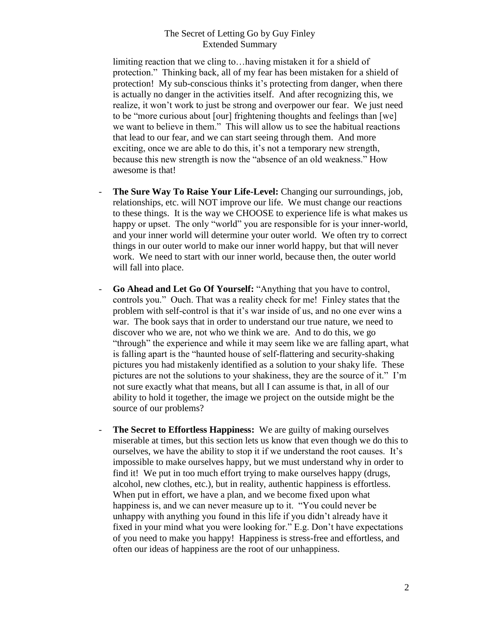limiting reaction that we cling to…having mistaken it for a shield of protection." Thinking back, all of my fear has been mistaken for a shield of protection! My sub-conscious thinks it's protecting from danger, when there is actually no danger in the activities itself. And after recognizing this, we realize, it won't work to just be strong and overpower our fear. We just need to be "more curious about [our] frightening thoughts and feelings than [we] we want to believe in them." This will allow us to see the habitual reactions that lead to our fear, and we can start seeing through them. And more exciting, once we are able to do this, it's not a temporary new strength, because this new strength is now the "absence of an old weakness." How awesome is that!

- **The Sure Way To Raise Your Life-Level:** Changing our surroundings, job, relationships, etc. will NOT improve our life. We must change our reactions to these things. It is the way we CHOOSE to experience life is what makes us happy or upset. The only "world" you are responsible for is your inner-world, and your inner world will determine your outer world. We often try to correct things in our outer world to make our inner world happy, but that will never work. We need to start with our inner world, because then, the outer world will fall into place.
- **Go Ahead and Let Go Of Yourself:** "Anything that you have to control, controls you." Ouch. That was a reality check for me! Finley states that the problem with self-control is that it's war inside of us, and no one ever wins a war. The book says that in order to understand our true nature, we need to discover who we are, not who we think we are. And to do this, we go "through" the experience and while it may seem like we are falling apart, what is falling apart is the "haunted house of self-flattering and security-shaking pictures you had mistakenly identified as a solution to your shaky life. These pictures are not the solutions to your shakiness, they are the source of it." I'm not sure exactly what that means, but all I can assume is that, in all of our ability to hold it together, the image we project on the outside might be the source of our problems?
- **The Secret to Effortless Happiness:** We are guilty of making ourselves miserable at times, but this section lets us know that even though we do this to ourselves, we have the ability to stop it if we understand the root causes. It's impossible to make ourselves happy, but we must understand why in order to find it! We put in too much effort trying to make ourselves happy (drugs, alcohol, new clothes, etc.), but in reality, authentic happiness is effortless. When put in effort, we have a plan, and we become fixed upon what happiness is, and we can never measure up to it. "You could never be unhappy with anything you found in this life if you didn't already have it fixed in your mind what you were looking for." E.g. Don't have expectations of you need to make you happy! Happiness is stress-free and effortless, and often our ideas of happiness are the root of our unhappiness.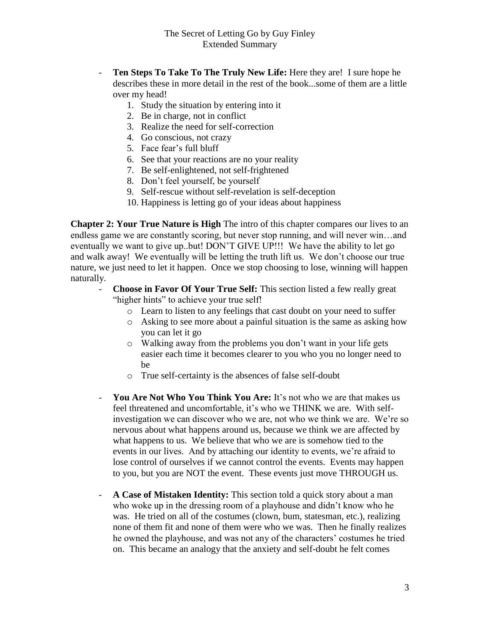- **Ten Steps To Take To The Truly New Life:** Here they are! I sure hope he describes these in more detail in the rest of the book...some of them are a little over my head!
	- 1. Study the situation by entering into it
	- 2. Be in charge, not in conflict
	- 3. Realize the need for self-correction
	- 4. Go conscious, not crazy
	- 5. Face fear's full bluff
	- 6. See that your reactions are no your reality
	- 7. Be self-enlightened, not self-frightened
	- 8. Don't feel yourself, be yourself
	- 9. Self-rescue without self-revelation is self-deception
	- 10. Happiness is letting go of your ideas about happiness

**Chapter 2: Your True Nature is High** The intro of this chapter compares our lives to an endless game we are constantly scoring, but never stop running, and will never win…and eventually we want to give up..but! DON'T GIVE UP!!! We have the ability to let go and walk away! We eventually will be letting the truth lift us. We don't choose our true nature, we just need to let it happen. Once we stop choosing to lose, winning will happen naturally.

- **Choose in Favor Of Your True Self:** This section listed a few really great "higher hints" to achieve your true self!
	- o Learn to listen to any feelings that cast doubt on your need to suffer
	- o Asking to see more about a painful situation is the same as asking how you can let it go
	- o Walking away from the problems you don't want in your life gets easier each time it becomes clearer to you who you no longer need to be
	- o True self-certainty is the absences of false self-doubt
- **You Are Not Who You Think You Are:** It's not who we are that makes us feel threatened and uncomfortable, it's who we THINK we are. With selfinvestigation we can discover who we are, not who we think we are. We're so nervous about what happens around us, because we think we are affected by what happens to us. We believe that who we are is somehow tied to the events in our lives. And by attaching our identity to events, we're afraid to lose control of ourselves if we cannot control the events. Events may happen to you, but you are NOT the event. These events just move THROUGH us.
- **A Case of Mistaken Identity:** This section told a quick story about a man who woke up in the dressing room of a playhouse and didn't know who he was. He tried on all of the costumes (clown, bum, statesman, etc.), realizing none of them fit and none of them were who we was. Then he finally realizes he owned the playhouse, and was not any of the characters' costumes he tried on. This became an analogy that the anxiety and self-doubt he felt comes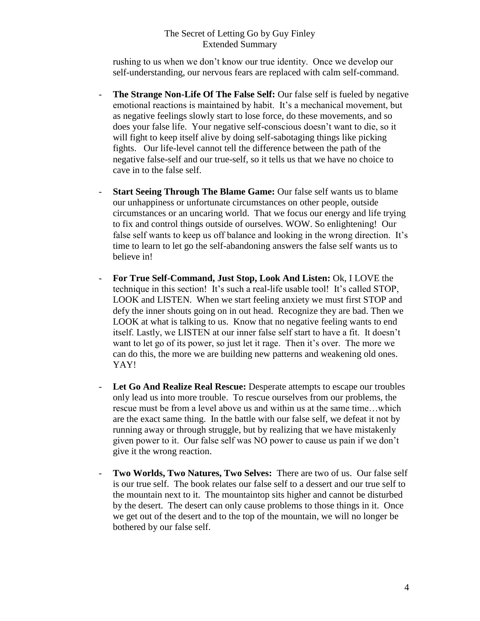rushing to us when we don't know our true identity. Once we develop our self-understanding, our nervous fears are replaced with calm self-command.

- **The Strange Non-Life Of The False Self:** Our false self is fueled by negative emotional reactions is maintained by habit. It's a mechanical movement, but as negative feelings slowly start to lose force, do these movements, and so does your false life. Your negative self-conscious doesn't want to die, so it will fight to keep itself alive by doing self-sabotaging things like picking fights. Our life-level cannot tell the difference between the path of the negative false-self and our true-self, so it tells us that we have no choice to cave in to the false self.
- **Start Seeing Through The Blame Game:** Our false self wants us to blame our unhappiness or unfortunate circumstances on other people, outside circumstances or an uncaring world. That we focus our energy and life trying to fix and control things outside of ourselves. WOW. So enlightening! Our false self wants to keep us off balance and looking in the wrong direction. It's time to learn to let go the self-abandoning answers the false self wants us to believe in!
- **For True Self-Command, Just Stop, Look And Listen:** Ok, I LOVE the technique in this section! It's such a real-life usable tool! It's called STOP, LOOK and LISTEN. When we start feeling anxiety we must first STOP and defy the inner shouts going on in out head. Recognize they are bad. Then we LOOK at what is talking to us. Know that no negative feeling wants to end itself. Lastly, we LISTEN at our inner false self start to have a fit. It doesn't want to let go of its power, so just let it rage. Then it's over. The more we can do this, the more we are building new patterns and weakening old ones. YAY!
- **Let Go And Realize Real Rescue:** Desperate attempts to escape our troubles only lead us into more trouble. To rescue ourselves from our problems, the rescue must be from a level above us and within us at the same time…which are the exact same thing. In the battle with our false self, we defeat it not by running away or through struggle, but by realizing that we have mistakenly given power to it. Our false self was NO power to cause us pain if we don't give it the wrong reaction.
- **Two Worlds, Two Natures, Two Selves:** There are two of us. Our false self is our true self. The book relates our false self to a dessert and our true self to the mountain next to it. The mountaintop sits higher and cannot be disturbed by the desert. The desert can only cause problems to those things in it. Once we get out of the desert and to the top of the mountain, we will no longer be bothered by our false self.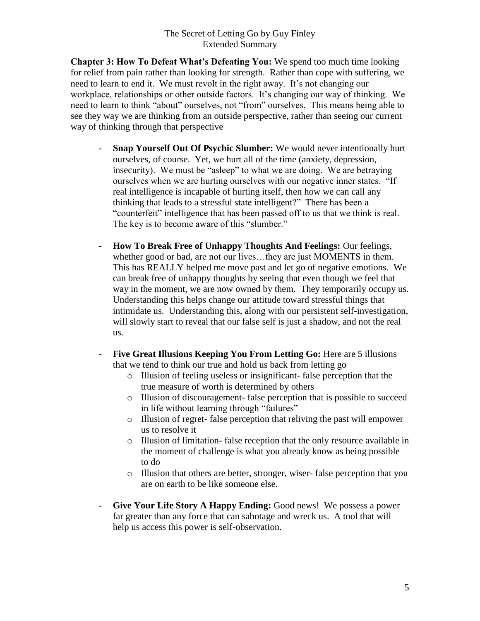**Chapter 3: How To Defeat What's Defeating You:** We spend too much time looking for relief from pain rather than looking for strength. Rather than cope with suffering, we need to learn to end it. We must revolt in the right away. It's not changing our workplace, relationships or other outside factors. It's changing our way of thinking. We need to learn to think "about" ourselves, not "from" ourselves. This means being able to see they way we are thinking from an outside perspective, rather than seeing our current way of thinking through that perspective

- **Snap Yourself Out Of Psychic Slumber:** We would never intentionally hurt ourselves, of course. Yet, we hurt all of the time (anxiety, depression, insecurity). We must be "asleep" to what we are doing. We are betraying ourselves when we are hurting ourselves with our negative inner states. "If real intelligence is incapable of hurting itself, then how we can call any thinking that leads to a stressful state intelligent?" There has been a "counterfeit" intelligence that has been passed off to us that we think is real. The key is to become aware of this "slumber."
- **How To Break Free of Unhappy Thoughts And Feelings:** Our feelings, whether good or bad, are not our lives...they are just MOMENTS in them. This has REALLY helped me move past and let go of negative emotions. We can break free of unhappy thoughts by seeing that even though we feel that way in the moment, we are now owned by them. They temporarily occupy us. Understanding this helps change our attitude toward stressful things that intimidate us. Understanding this, along with our persistent self-investigation, will slowly start to reveal that our false self is just a shadow, and not the real us.
- **Five Great Illusions Keeping You From Letting Go:** Here are 5 illusions that we tend to think our true and hold us back from letting go
	- o Illusion of feeling useless or insignificant- false perception that the true measure of worth is determined by others
	- o Illusion of discouragement- false perception that is possible to succeed in life without learning through "failures"
	- o Illusion of regret- false perception that reliving the past will empower us to resolve it
	- o Illusion of limitation- false reception that the only resource available in the moment of challenge is what you already know as being possible to do
	- o Illusion that others are better, stronger, wiser- false perception that you are on earth to be like someone else.
- **Give Your Life Story A Happy Ending:** Good news! We possess a power far greater than any force that can sabotage and wreck us. A tool that will help us access this power is self-observation.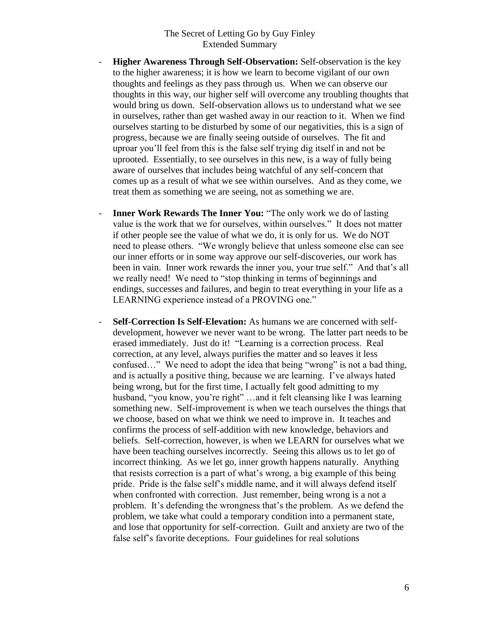- **Higher Awareness Through Self-Observation:** Self-observation is the key to the higher awareness; it is how we learn to become vigilant of our own thoughts and feelings as they pass through us. When we can observe our thoughts in this way, our higher self will overcome any troubling thoughts that would bring us down. Self-observation allows us to understand what we see in ourselves, rather than get washed away in our reaction to it. When we find ourselves starting to be disturbed by some of our negativities, this is a sign of progress, because we are finally seeing outside of ourselves. The fit and uproar you'll feel from this is the false self trying dig itself in and not be uprooted. Essentially, to see ourselves in this new, is a way of fully being aware of ourselves that includes being watchful of any self-concern that comes up as a result of what we see within ourselves. And as they come, we treat them as something we are seeing, not as something we are.
- **Inner Work Rewards The Inner You:** "The only work we do of lasting value is the work that we for ourselves, within ourselves." It does not matter if other people see the value of what we do, it is only for us. We do NOT need to please others. "We wrongly believe that unless someone else can see our inner efforts or in some way approve our self-discoveries, our work has been in vain. Inner work rewards the inner you, your true self." And that's all we really need! We need to "stop thinking in terms of beginnings and endings, successes and failures, and begin to treat everything in your life as a LEARNING experience instead of a PROVING one."
- **Self-Correction Is Self-Elevation:** As humans we are concerned with selfdevelopment, however we never want to be wrong. The latter part needs to be erased immediately. Just do it! "Learning is a correction process. Real correction, at any level, always purifies the matter and so leaves it less confused…" We need to adopt the idea that being "wrong" is not a bad thing, and is actually a positive thing, because we are learning. I've always hated being wrong, but for the first time, I actually felt good admitting to my husband, "you know, you're right" ...and it felt cleansing like I was learning something new. Self-improvement is when we teach ourselves the things that we choose, based on what we think we need to improve in. It teaches and confirms the process of self-addition with new knowledge, behaviors and beliefs. Self-correction, however, is when we LEARN for ourselves what we have been teaching ourselves incorrectly. Seeing this allows us to let go of incorrect thinking. As we let go, inner growth happens naturally. Anything that resists correction is a part of what's wrong, a big example of this being pride. Pride is the false self's middle name, and it will always defend itself when confronted with correction. Just remember, being wrong is a not a problem. It's defending the wrongness that's the problem. As we defend the problem, we take what could a temporary condition into a permanent state, and lose that opportunity for self-correction. Guilt and anxiety are two of the false self's favorite deceptions. Four guidelines for real solutions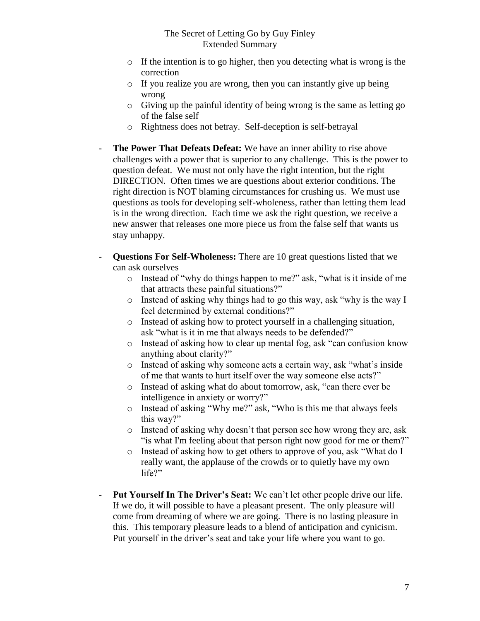- o If the intention is to go higher, then you detecting what is wrong is the correction
- o If you realize you are wrong, then you can instantly give up being wrong
- o Giving up the painful identity of being wrong is the same as letting go of the false self
- o Rightness does not betray. Self-deception is self-betrayal
- The Power That Defeats Defeat: We have an inner ability to rise above challenges with a power that is superior to any challenge. This is the power to question defeat. We must not only have the right intention, but the right DIRECTION. Often times we are questions about exterior conditions. The right direction is NOT blaming circumstances for crushing us. We must use questions as tools for developing self-wholeness, rather than letting them lead is in the wrong direction. Each time we ask the right question, we receive a new answer that releases one more piece us from the false self that wants us stay unhappy.
- **Questions For Self-Wholeness:** There are 10 great questions listed that we can ask ourselves
	- o Instead of "why do things happen to me?" ask, "what is it inside of me that attracts these painful situations?"
	- o Instead of asking why things had to go this way, ask "why is the way I feel determined by external conditions?"
	- o Instead of asking how to protect yourself in a challenging situation, ask "what is it in me that always needs to be defended?"
	- o Instead of asking how to clear up mental fog, ask "can confusion know anything about clarity?"
	- o Instead of asking why someone acts a certain way, ask "what's inside of me that wants to hurt itself over the way someone else acts?"
	- o Instead of asking what do about tomorrow, ask, "can there ever be intelligence in anxiety or worry?"
	- o Instead of asking "Why me?" ask, "Who is this me that always feels this way?"
	- o Instead of asking why doesn't that person see how wrong they are, ask "is what I'm feeling about that person right now good for me or them?"
	- o Instead of asking how to get others to approve of you, ask "What do I really want, the applause of the crowds or to quietly have my own life?"
- **Put Yourself In The Driver's Seat:** We can't let other people drive our life. If we do, it will possible to have a pleasant present. The only pleasure will come from dreaming of where we are going. There is no lasting pleasure in this. This temporary pleasure leads to a blend of anticipation and cynicism. Put yourself in the driver's seat and take your life where you want to go.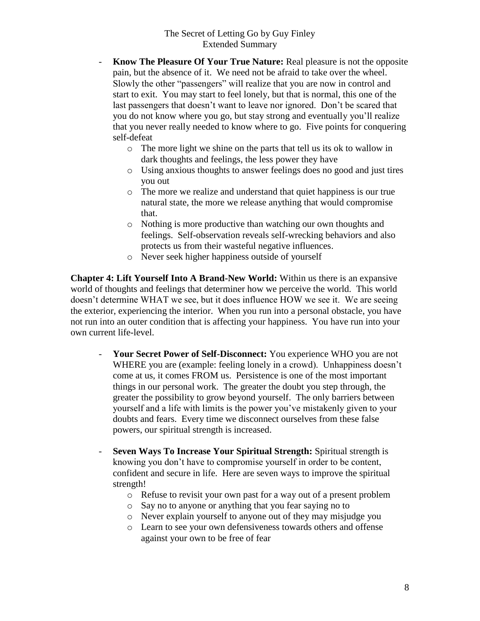- **Know The Pleasure Of Your True Nature:** Real pleasure is not the opposite pain, but the absence of it. We need not be afraid to take over the wheel. Slowly the other "passengers" will realize that you are now in control and start to exit. You may start to feel lonely, but that is normal, this one of the last passengers that doesn't want to leave nor ignored. Don't be scared that you do not know where you go, but stay strong and eventually you'll realize that you never really needed to know where to go. Five points for conquering self-defeat
	- o The more light we shine on the parts that tell us its ok to wallow in dark thoughts and feelings, the less power they have
	- o Using anxious thoughts to answer feelings does no good and just tires you out
	- o The more we realize and understand that quiet happiness is our true natural state, the more we release anything that would compromise that.
	- o Nothing is more productive than watching our own thoughts and feelings. Self-observation reveals self-wrecking behaviors and also protects us from their wasteful negative influences.
	- o Never seek higher happiness outside of yourself

**Chapter 4: Lift Yourself Into A Brand-New World:** Within us there is an expansive world of thoughts and feelings that determiner how we perceive the world. This world doesn't determine WHAT we see, but it does influence HOW we see it. We are seeing the exterior, experiencing the interior. When you run into a personal obstacle, you have not run into an outer condition that is affecting your happiness. You have run into your own current life-level.

- **Your Secret Power of Self-Disconnect:** You experience WHO you are not WHERE you are (example: feeling lonely in a crowd). Unhappiness doesn't come at us, it comes FROM us. Persistence is one of the most important things in our personal work. The greater the doubt you step through, the greater the possibility to grow beyond yourself. The only barriers between yourself and a life with limits is the power you've mistakenly given to your doubts and fears. Every time we disconnect ourselves from these false powers, our spiritual strength is increased.
- **Seven Ways To Increase Your Spiritual Strength:** Spiritual strength is knowing you don't have to compromise yourself in order to be content, confident and secure in life. Here are seven ways to improve the spiritual strength!
	- o Refuse to revisit your own past for a way out of a present problem
	- o Say no to anyone or anything that you fear saying no to
	- o Never explain yourself to anyone out of they may misjudge you
	- o Learn to see your own defensiveness towards others and offense against your own to be free of fear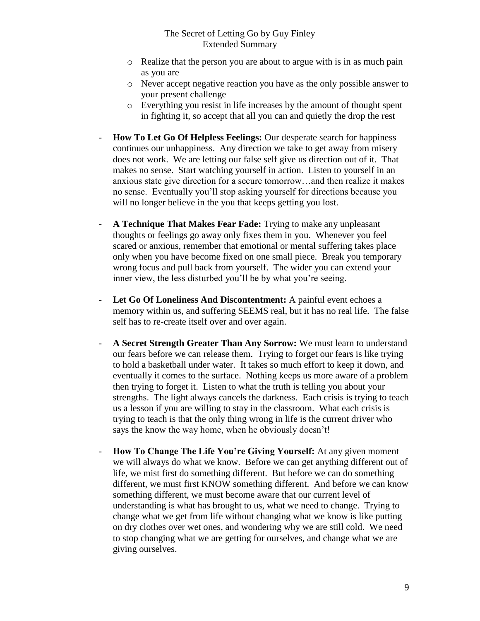- o Realize that the person you are about to argue with is in as much pain as you are
- o Never accept negative reaction you have as the only possible answer to your present challenge
- o Everything you resist in life increases by the amount of thought spent in fighting it, so accept that all you can and quietly the drop the rest
- **How To Let Go Of Helpless Feelings:** Our desperate search for happiness continues our unhappiness. Any direction we take to get away from misery does not work. We are letting our false self give us direction out of it. That makes no sense. Start watching yourself in action. Listen to yourself in an anxious state give direction for a secure tomorrow…and then realize it makes no sense. Eventually you'll stop asking yourself for directions because you will no longer believe in the you that keeps getting you lost.
- **A Technique That Makes Fear Fade:** Trying to make any unpleasant thoughts or feelings go away only fixes them in you. Whenever you feel scared or anxious, remember that emotional or mental suffering takes place only when you have become fixed on one small piece. Break you temporary wrong focus and pull back from yourself. The wider you can extend your inner view, the less disturbed you'll be by what you're seeing.
- **Let Go Of Loneliness And Discontentment:** A painful event echoes a memory within us, and suffering SEEMS real, but it has no real life. The false self has to re-create itself over and over again.
- **A Secret Strength Greater Than Any Sorrow:** We must learn to understand our fears before we can release them. Trying to forget our fears is like trying to hold a basketball under water. It takes so much effort to keep it down, and eventually it comes to the surface. Nothing keeps us more aware of a problem then trying to forget it. Listen to what the truth is telling you about your strengths. The light always cancels the darkness. Each crisis is trying to teach us a lesson if you are willing to stay in the classroom. What each crisis is trying to teach is that the only thing wrong in life is the current driver who says the know the way home, when he obviously doesn't!
- **How To Change The Life You're Giving Yourself:** At any given moment we will always do what we know. Before we can get anything different out of life, we mist first do something different. But before we can do something different, we must first KNOW something different. And before we can know something different, we must become aware that our current level of understanding is what has brought to us, what we need to change. Trying to change what we get from life without changing what we know is like putting on dry clothes over wet ones, and wondering why we are still cold. We need to stop changing what we are getting for ourselves, and change what we are giving ourselves.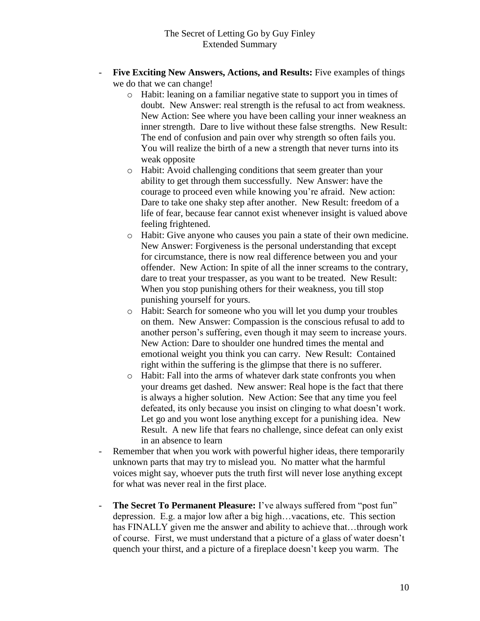- Five Exciting New Answers, Actions, and Results: Five examples of things we do that we can change!
	- o Habit: leaning on a familiar negative state to support you in times of doubt. New Answer: real strength is the refusal to act from weakness. New Action: See where you have been calling your inner weakness an inner strength. Dare to live without these false strengths. New Result: The end of confusion and pain over why strength so often fails you. You will realize the birth of a new a strength that never turns into its weak opposite
	- o Habit: Avoid challenging conditions that seem greater than your ability to get through them successfully. New Answer: have the courage to proceed even while knowing you're afraid. New action: Dare to take one shaky step after another. New Result: freedom of a life of fear, because fear cannot exist whenever insight is valued above feeling frightened.
	- o Habit: Give anyone who causes you pain a state of their own medicine. New Answer: Forgiveness is the personal understanding that except for circumstance, there is now real difference between you and your offender. New Action: In spite of all the inner screams to the contrary, dare to treat your trespasser, as you want to be treated. New Result: When you stop punishing others for their weakness, you till stop punishing yourself for yours.
	- o Habit: Search for someone who you will let you dump your troubles on them. New Answer: Compassion is the conscious refusal to add to another person's suffering, even though it may seem to increase yours. New Action: Dare to shoulder one hundred times the mental and emotional weight you think you can carry. New Result: Contained right within the suffering is the glimpse that there is no sufferer.
	- o Habit: Fall into the arms of whatever dark state confronts you when your dreams get dashed. New answer: Real hope is the fact that there is always a higher solution. New Action: See that any time you feel defeated, its only because you insist on clinging to what doesn't work. Let go and you wont lose anything except for a punishing idea. New Result. A new life that fears no challenge, since defeat can only exist in an absence to learn
- Remember that when you work with powerful higher ideas, there temporarily unknown parts that may try to mislead you. No matter what the harmful voices might say, whoever puts the truth first will never lose anything except for what was never real in the first place.
- The Secret To Permanent Pleasure: I've always suffered from "post fun" depression. E.g. a major low after a big high…vacations, etc. This section has FINALLY given me the answer and ability to achieve that…through work of course. First, we must understand that a picture of a glass of water doesn't quench your thirst, and a picture of a fireplace doesn't keep you warm. The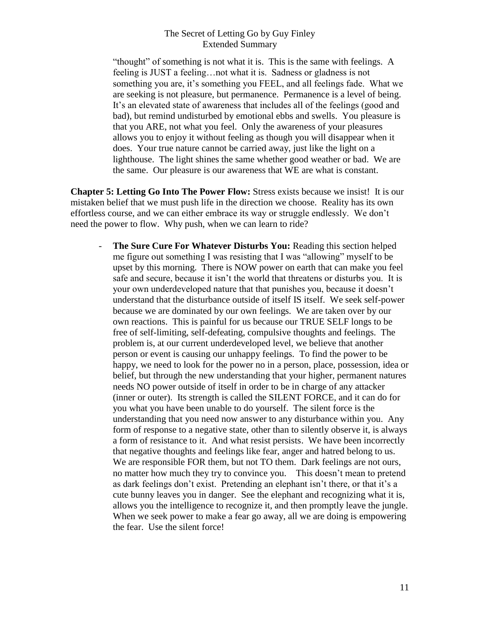"thought" of something is not what it is. This is the same with feelings. A feeling is JUST a feeling…not what it is. Sadness or gladness is not something you are, it's something you FEEL, and all feelings fade. What we are seeking is not pleasure, but permanence. Permanence is a level of being. It's an elevated state of awareness that includes all of the feelings (good and bad), but remind undisturbed by emotional ebbs and swells. You pleasure is that you ARE, not what you feel. Only the awareness of your pleasures allows you to enjoy it without feeling as though you will disappear when it does. Your true nature cannot be carried away, just like the light on a lighthouse. The light shines the same whether good weather or bad. We are the same. Our pleasure is our awareness that WE are what is constant.

**Chapter 5: Letting Go Into The Power Flow:** Stress exists because we insist! It is our mistaken belief that we must push life in the direction we choose. Reality has its own effortless course, and we can either embrace its way or struggle endlessly. We don't need the power to flow. Why push, when we can learn to ride?

- **The Sure Cure For Whatever Disturbs You:** Reading this section helped me figure out something I was resisting that I was "allowing" myself to be upset by this morning. There is NOW power on earth that can make you feel safe and secure, because it isn't the world that threatens or disturbs you. It is your own underdeveloped nature that that punishes you, because it doesn't understand that the disturbance outside of itself IS itself. We seek self-power because we are dominated by our own feelings. We are taken over by our own reactions. This is painful for us because our TRUE SELF longs to be free of self-limiting, self-defeating, compulsive thoughts and feelings. The problem is, at our current underdeveloped level, we believe that another person or event is causing our unhappy feelings. To find the power to be happy, we need to look for the power no in a person, place, possession, idea or belief, but through the new understanding that your higher, permanent natures needs NO power outside of itself in order to be in charge of any attacker (inner or outer). Its strength is called the SILENT FORCE, and it can do for you what you have been unable to do yourself. The silent force is the understanding that you need now answer to any disturbance within you. Any form of response to a negative state, other than to silently observe it, is always a form of resistance to it. And what resist persists. We have been incorrectly that negative thoughts and feelings like fear, anger and hatred belong to us. We are responsible FOR them, but not TO them. Dark feelings are not ours, no matter how much they try to convince you. This doesn't mean to pretend as dark feelings don't exist. Pretending an elephant isn't there, or that it's a cute bunny leaves you in danger. See the elephant and recognizing what it is, allows you the intelligence to recognize it, and then promptly leave the jungle. When we seek power to make a fear go away, all we are doing is empowering the fear. Use the silent force!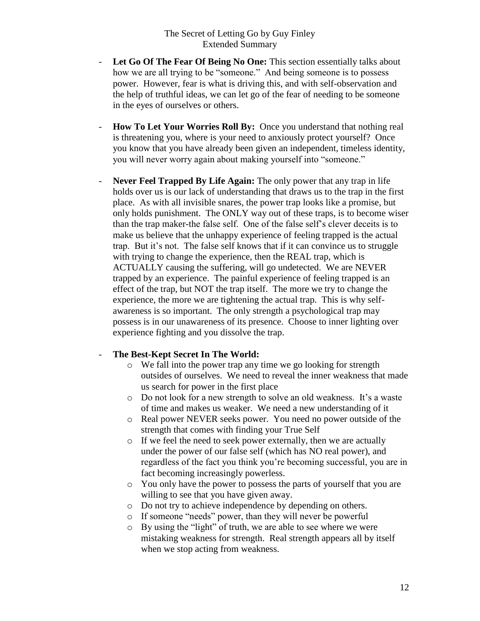- **Let Go Of The Fear Of Being No One:** This section essentially talks about how we are all trying to be "someone." And being someone is to possess power. However, fear is what is driving this, and with self-observation and the help of truthful ideas, we can let go of the fear of needing to be someone in the eyes of ourselves or others.
- **How To Let Your Worries Roll By:** Once you understand that nothing real is threatening you, where is your need to anxiously protect yourself? Once you know that you have already been given an independent, timeless identity, you will never worry again about making yourself into "someone."
- Never Feel Trapped By Life Again: The only power that any trap in life holds over us is our lack of understanding that draws us to the trap in the first place. As with all invisible snares, the power trap looks like a promise, but only holds punishment. The ONLY way out of these traps, is to become wiser than the trap maker-the false self. One of the false self's clever deceits is to make us believe that the unhappy experience of feeling trapped is the actual trap. But it's not. The false self knows that if it can convince us to struggle with trying to change the experience, then the REAL trap, which is ACTUALLY causing the suffering, will go undetected. We are NEVER trapped by an experience. The painful experience of feeling trapped is an effect of the trap, but NOT the trap itself. The more we try to change the experience, the more we are tightening the actual trap. This is why selfawareness is so important. The only strength a psychological trap may possess is in our unawareness of its presence. Choose to inner lighting over experience fighting and you dissolve the trap.

#### - **The Best-Kept Secret In The World:**

- o We fall into the power trap any time we go looking for strength outsides of ourselves. We need to reveal the inner weakness that made us search for power in the first place
- o Do not look for a new strength to solve an old weakness. It's a waste of time and makes us weaker. We need a new understanding of it
- o Real power NEVER seeks power. You need no power outside of the strength that comes with finding your True Self
- o If we feel the need to seek power externally, then we are actually under the power of our false self (which has NO real power), and regardless of the fact you think you're becoming successful, you are in fact becoming increasingly powerless.
- o You only have the power to possess the parts of yourself that you are willing to see that you have given away.
- o Do not try to achieve independence by depending on others.
- o If someone "needs" power, than they will never be powerful
- o By using the "light" of truth, we are able to see where we were mistaking weakness for strength. Real strength appears all by itself when we stop acting from weakness.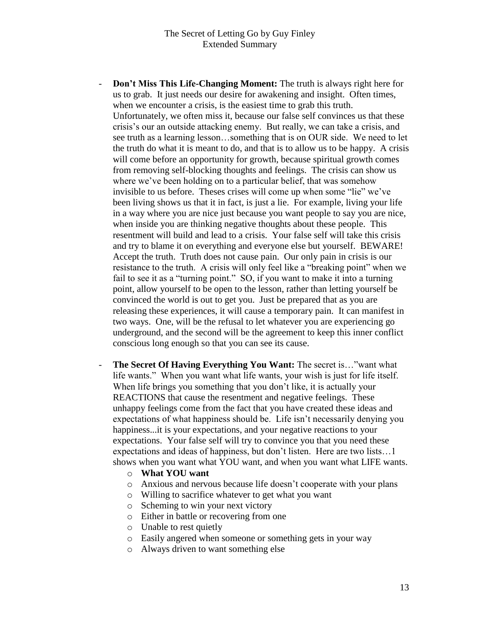- **Don't Miss This Life-Changing Moment:** The truth is always right here for us to grab. It just needs our desire for awakening and insight. Often times, when we encounter a crisis, is the easiest time to grab this truth. Unfortunately, we often miss it, because our false self convinces us that these crisis's our an outside attacking enemy. But really, we can take a crisis, and see truth as a learning lesson…something that is on OUR side. We need to let the truth do what it is meant to do, and that is to allow us to be happy. A crisis will come before an opportunity for growth, because spiritual growth comes from removing self-blocking thoughts and feelings. The crisis can show us where we've been holding on to a particular belief, that was somehow invisible to us before. Theses crises will come up when some "lie" we've been living shows us that it in fact, is just a lie. For example, living your life in a way where you are nice just because you want people to say you are nice, when inside you are thinking negative thoughts about these people. This resentment will build and lead to a crisis. Your false self will take this crisis and try to blame it on everything and everyone else but yourself. BEWARE! Accept the truth. Truth does not cause pain. Our only pain in crisis is our resistance to the truth. A crisis will only feel like a "breaking point" when we fail to see it as a "turning point." SO, if you want to make it into a turning point, allow yourself to be open to the lesson, rather than letting yourself be convinced the world is out to get you. Just be prepared that as you are releasing these experiences, it will cause a temporary pain. It can manifest in two ways. One, will be the refusal to let whatever you are experiencing go underground, and the second will be the agreement to keep this inner conflict conscious long enough so that you can see its cause.
- **The Secret Of Having Everything You Want:** The secret is…"want what life wants." When you want what life wants, your wish is just for life itself. When life brings you something that you don't like, it is actually your REACTIONS that cause the resentment and negative feelings. These unhappy feelings come from the fact that you have created these ideas and expectations of what happiness should be. Life isn't necessarily denying you happiness...it is your expectations, and your negative reactions to your expectations. Your false self will try to convince you that you need these expectations and ideas of happiness, but don't listen. Here are two lists…1 shows when you want what YOU want, and when you want what LIFE wants.
	- o **What YOU want**
	- o Anxious and nervous because life doesn't cooperate with your plans
	- o Willing to sacrifice whatever to get what you want
	- o Scheming to win your next victory
	- o Either in battle or recovering from one
	- o Unable to rest quietly
	- o Easily angered when someone or something gets in your way
	- o Always driven to want something else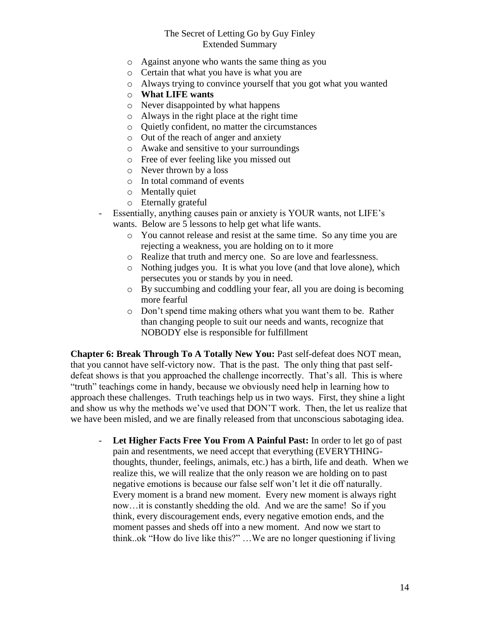- o Against anyone who wants the same thing as you
- o Certain that what you have is what you are
- o Always trying to convince yourself that you got what you wanted
- o **What LIFE wants**
- o Never disappointed by what happens
- o Always in the right place at the right time
- o Quietly confident, no matter the circumstances
- o Out of the reach of anger and anxiety
- o Awake and sensitive to your surroundings
- o Free of ever feeling like you missed out
- o Never thrown by a loss
- o In total command of events
- o Mentally quiet
- o Eternally grateful
- Essentially, anything causes pain or anxiety is YOUR wants, not LIFE's wants. Below are 5 lessons to help get what life wants.
	- o You cannot release and resist at the same time. So any time you are rejecting a weakness, you are holding on to it more
	- o Realize that truth and mercy one. So are love and fearlessness.
	- o Nothing judges you. It is what you love (and that love alone), which persecutes you or stands by you in need.
	- o By succumbing and coddling your fear, all you are doing is becoming more fearful
	- o Don't spend time making others what you want them to be. Rather than changing people to suit our needs and wants, recognize that NOBODY else is responsible for fulfillment

**Chapter 6: Break Through To A Totally New You:** Past self-defeat does NOT mean, that you cannot have self-victory now. That is the past. The only thing that past selfdefeat shows is that you approached the challenge incorrectly. That's all. This is where "truth" teachings come in handy, because we obviously need help in learning how to approach these challenges. Truth teachings help us in two ways. First, they shine a light and show us why the methods we've used that DON'T work. Then, the let us realize that we have been misled, and we are finally released from that unconscious sabotaging idea.

- **Let Higher Facts Free You From A Painful Past:** In order to let go of past pain and resentments, we need accept that everything (EVERYTHINGthoughts, thunder, feelings, animals, etc.) has a birth, life and death. When we realize this, we will realize that the only reason we are holding on to past negative emotions is because our false self won't let it die off naturally. Every moment is a brand new moment. Every new moment is always right now…it is constantly shedding the old. And we are the same! So if you think, every discouragement ends, every negative emotion ends, and the moment passes and sheds off into a new moment. And now we start to think..ok "How do live like this?" …We are no longer questioning if living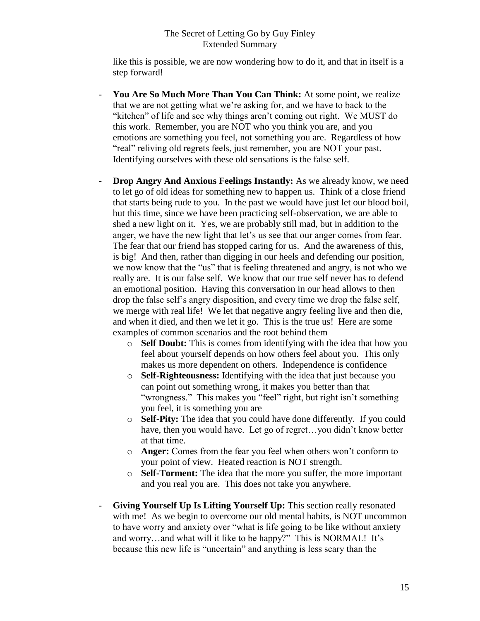like this is possible, we are now wondering how to do it, and that in itself is a step forward!

- **You Are So Much More Than You Can Think:** At some point, we realize that we are not getting what we're asking for, and we have to back to the "kitchen" of life and see why things aren't coming out right. We MUST do this work. Remember, you are NOT who you think you are, and you emotions are something you feel, not something you are. Regardless of how "real" reliving old regrets feels, just remember, you are NOT your past. Identifying ourselves with these old sensations is the false self.
- **Drop Angry And Anxious Feelings Instantly:** As we already know, we need to let go of old ideas for something new to happen us. Think of a close friend that starts being rude to you. In the past we would have just let our blood boil, but this time, since we have been practicing self-observation, we are able to shed a new light on it. Yes, we are probably still mad, but in addition to the anger, we have the new light that let's us see that our anger comes from fear. The fear that our friend has stopped caring for us. And the awareness of this, is big! And then, rather than digging in our heels and defending our position, we now know that the "us" that is feeling threatened and angry, is not who we really are. It is our false self. We know that our true self never has to defend an emotional position. Having this conversation in our head allows to then drop the false self's angry disposition, and every time we drop the false self, we merge with real life! We let that negative angry feeling live and then die, and when it died, and then we let it go. This is the true us! Here are some examples of common scenarios and the root behind them
	- o **Self Doubt:** This is comes from identifying with the idea that how you feel about yourself depends on how others feel about you. This only makes us more dependent on others. Independence is confidence
	- o **Self-Righteousness:** Identifying with the idea that just because you can point out something wrong, it makes you better than that "wrongness." This makes you "feel" right, but right isn't something you feel, it is something you are
	- o **Self-Pity:** The idea that you could have done differently. If you could have, then you would have. Let go of regret…you didn't know better at that time.
	- o **Anger:** Comes from the fear you feel when others won't conform to your point of view. Heated reaction is NOT strength.
	- o **Self-Torment:** The idea that the more you suffer, the more important and you real you are. This does not take you anywhere.
- Giving Yourself Up Is Lifting Yourself Up: This section really resonated with me! As we begin to overcome our old mental habits, is NOT uncommon to have worry and anxiety over "what is life going to be like without anxiety and worry…and what will it like to be happy?" This is NORMAL! It's because this new life is "uncertain" and anything is less scary than the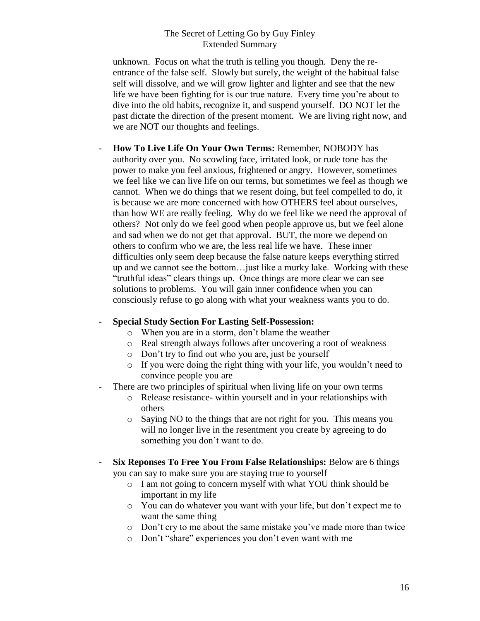unknown. Focus on what the truth is telling you though. Deny the reentrance of the false self. Slowly but surely, the weight of the habitual false self will dissolve, and we will grow lighter and lighter and see that the new life we have been fighting for is our true nature. Every time you're about to dive into the old habits, recognize it, and suspend yourself. DO NOT let the past dictate the direction of the present moment. We are living right now, and we are NOT our thoughts and feelings.

- **How To Live Life On Your Own Terms:** Remember, NOBODY has authority over you. No scowling face, irritated look, or rude tone has the power to make you feel anxious, frightened or angry. However, sometimes we feel like we can live life on our terms, but sometimes we feel as though we cannot. When we do things that we resent doing, but feel compelled to do, it is because we are more concerned with how OTHERS feel about ourselves, than how WE are really feeling. Why do we feel like we need the approval of others? Not only do we feel good when people approve us, but we feel alone and sad when we do not get that approval. BUT, the more we depend on others to confirm who we are, the less real life we have. These inner difficulties only seem deep because the false nature keeps everything stirred up and we cannot see the bottom…just like a murky lake. Working with these "truthful ideas" clears things up. Once things are more clear we can see solutions to problems. You will gain inner confidence when you can consciously refuse to go along with what your weakness wants you to do.

## - **Special Study Section For Lasting Self-Possession:**

- o When you are in a storm, don't blame the weather
- o Real strength always follows after uncovering a root of weakness
- o Don't try to find out who you are, just be yourself
- o If you were doing the right thing with your life, you wouldn't need to convince people you are
- There are two principles of spiritual when living life on your own terms
	- o Release resistance- within yourself and in your relationships with others
	- o Saying NO to the things that are not right for you. This means you will no longer live in the resentment you create by agreeing to do something you don't want to do.
- **Six Reponses To Free You From False Relationships:** Below are 6 things you can say to make sure you are staying true to yourself
	- o I am not going to concern myself with what YOU think should be important in my life
	- o You can do whatever you want with your life, but don't expect me to want the same thing
	- o Don't cry to me about the same mistake you've made more than twice
	- o Don't "share" experiences you don't even want with me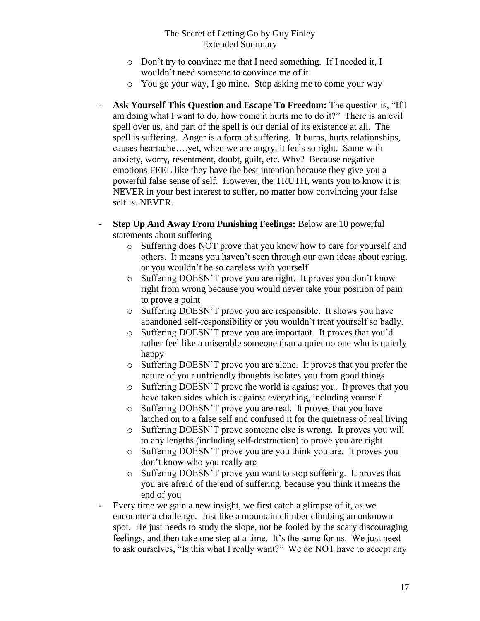- o Don't try to convince me that I need something. If I needed it, I wouldn't need someone to convince me of it
- o You go your way, I go mine. Stop asking me to come your way
- **Ask Yourself This Question and Escape To Freedom:** The question is, "If I am doing what I want to do, how come it hurts me to do it?" There is an evil spell over us, and part of the spell is our denial of its existence at all. The spell is suffering. Anger is a form of suffering. It burns, hurts relationships, causes heartache….yet, when we are angry, it feels so right. Same with anxiety, worry, resentment, doubt, guilt, etc. Why? Because negative emotions FEEL like they have the best intention because they give you a powerful false sense of self. However, the TRUTH, wants you to know it is NEVER in your best interest to suffer, no matter how convincing your false self is. NEVER.
- **Step Up And Away From Punishing Feelings:** Below are 10 powerful statements about suffering
	- o Suffering does NOT prove that you know how to care for yourself and others. It means you haven't seen through our own ideas about caring, or you wouldn't be so careless with yourself
	- o Suffering DOESN'T prove you are right. It proves you don't know right from wrong because you would never take your position of pain to prove a point
	- o Suffering DOESN'T prove you are responsible. It shows you have abandoned self-responsibility or you wouldn't treat yourself so badly.
	- o Suffering DOESN'T prove you are important. It proves that you'd rather feel like a miserable someone than a quiet no one who is quietly happy
	- o Suffering DOESN'T prove you are alone. It proves that you prefer the nature of your unfriendly thoughts isolates you from good things
	- o Suffering DOESN'T prove the world is against you. It proves that you have taken sides which is against everything, including yourself
	- o Suffering DOESN'T prove you are real. It proves that you have latched on to a false self and confused it for the quietness of real living
	- o Suffering DOESN'T prove someone else is wrong. It proves you will to any lengths (including self-destruction) to prove you are right
	- o Suffering DOESN'T prove you are you think you are. It proves you don't know who you really are
	- o Suffering DOESN'T prove you want to stop suffering. It proves that you are afraid of the end of suffering, because you think it means the end of you
- Every time we gain a new insight, we first catch a glimpse of it, as we encounter a challenge. Just like a mountain climber climbing an unknown spot. He just needs to study the slope, not be fooled by the scary discouraging feelings, and then take one step at a time. It's the same for us. We just need to ask ourselves, "Is this what I really want?" We do NOT have to accept any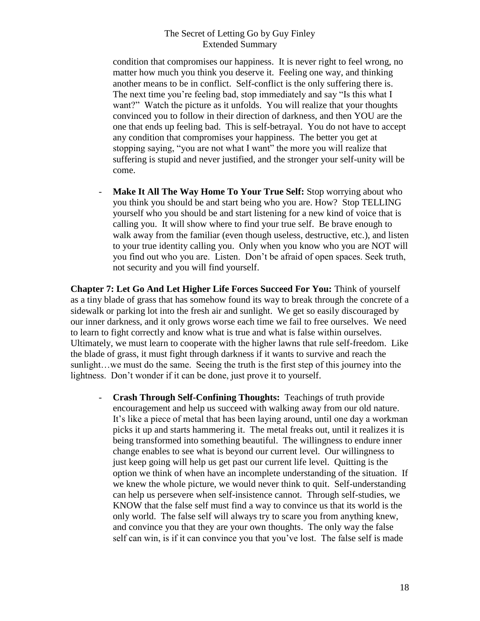condition that compromises our happiness. It is never right to feel wrong, no matter how much you think you deserve it. Feeling one way, and thinking another means to be in conflict. Self-conflict is the only suffering there is. The next time you're feeling bad, stop immediately and say "Is this what I want?" Watch the picture as it unfolds. You will realize that your thoughts convinced you to follow in their direction of darkness, and then YOU are the one that ends up feeling bad. This is self-betrayal. You do not have to accept any condition that compromises your happiness. The better you get at stopping saying, "you are not what I want" the more you will realize that suffering is stupid and never justified, and the stronger your self-unity will be come.

- **Make It All The Way Home To Your True Self:** Stop worrying about who you think you should be and start being who you are. How? Stop TELLING yourself who you should be and start listening for a new kind of voice that is calling you. It will show where to find your true self. Be brave enough to walk away from the familiar (even though useless, destructive, etc.), and listen to your true identity calling you. Only when you know who you are NOT will you find out who you are. Listen. Don't be afraid of open spaces. Seek truth, not security and you will find yourself.

**Chapter 7: Let Go And Let Higher Life Forces Succeed For You:** Think of yourself as a tiny blade of grass that has somehow found its way to break through the concrete of a sidewalk or parking lot into the fresh air and sunlight. We get so easily discouraged by our inner darkness, and it only grows worse each time we fail to free ourselves. We need to learn to fight correctly and know what is true and what is false within ourselves. Ultimately, we must learn to cooperate with the higher lawns that rule self-freedom. Like the blade of grass, it must fight through darkness if it wants to survive and reach the sunlight…we must do the same. Seeing the truth is the first step of this journey into the lightness. Don't wonder if it can be done, just prove it to yourself.

- **Crash Through Self-Confining Thoughts:** Teachings of truth provide encouragement and help us succeed with walking away from our old nature. It's like a piece of metal that has been laying around, until one day a workman picks it up and starts hammering it. The metal freaks out, until it realizes it is being transformed into something beautiful. The willingness to endure inner change enables to see what is beyond our current level. Our willingness to just keep going will help us get past our current life level. Quitting is the option we think of when have an incomplete understanding of the situation. If we knew the whole picture, we would never think to quit. Self-understanding can help us persevere when self-insistence cannot. Through self-studies, we KNOW that the false self must find a way to convince us that its world is the only world. The false self will always try to scare you from anything knew, and convince you that they are your own thoughts. The only way the false self can win, is if it can convince you that you've lost. The false self is made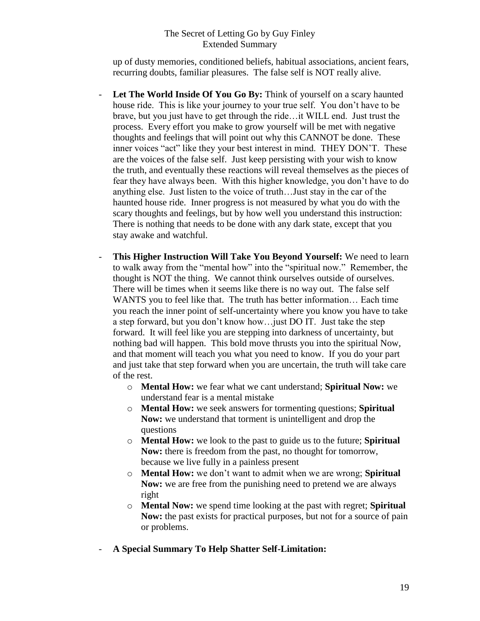up of dusty memories, conditioned beliefs, habitual associations, ancient fears, recurring doubts, familiar pleasures. The false self is NOT really alive.

- **Let The World Inside Of You Go By:** Think of yourself on a scary haunted house ride. This is like your journey to your true self. You don't have to be brave, but you just have to get through the ride…it WILL end. Just trust the process. Every effort you make to grow yourself will be met with negative thoughts and feelings that will point out why this CANNOT be done. These inner voices "act" like they your best interest in mind. THEY DON'T. These are the voices of the false self. Just keep persisting with your wish to know the truth, and eventually these reactions will reveal themselves as the pieces of fear they have always been. With this higher knowledge, you don't have to do anything else. Just listen to the voice of truth…Just stay in the car of the haunted house ride. Inner progress is not measured by what you do with the scary thoughts and feelings, but by how well you understand this instruction: There is nothing that needs to be done with any dark state, except that you stay awake and watchful.
- This Higher Instruction Will Take You Beyond Yourself: We need to learn to walk away from the "mental how" into the "spiritual now." Remember, the thought is NOT the thing. We cannot think ourselves outside of ourselves. There will be times when it seems like there is no way out. The false self WANTS you to feel like that. The truth has better information… Each time you reach the inner point of self-uncertainty where you know you have to take a step forward, but you don't know how…just DO IT. Just take the step forward. It will feel like you are stepping into darkness of uncertainty, but nothing bad will happen. This bold move thrusts you into the spiritual Now, and that moment will teach you what you need to know. If you do your part and just take that step forward when you are uncertain, the truth will take care of the rest.
	- o **Mental How:** we fear what we cant understand; **Spiritual Now:** we understand fear is a mental mistake
	- o **Mental How:** we seek answers for tormenting questions; **Spiritual Now:** we understand that torment is unintelligent and drop the questions
	- o **Mental How:** we look to the past to guide us to the future; **Spiritual Now:** there is freedom from the past, no thought for tomorrow, because we live fully in a painless present
	- o **Mental How:** we don't want to admit when we are wrong; **Spiritual Now:** we are free from the punishing need to pretend we are always right
	- o **Mental Now:** we spend time looking at the past with regret; **Spiritual Now:** the past exists for practical purposes, but not for a source of pain or problems.
- **A Special Summary To Help Shatter Self-Limitation:**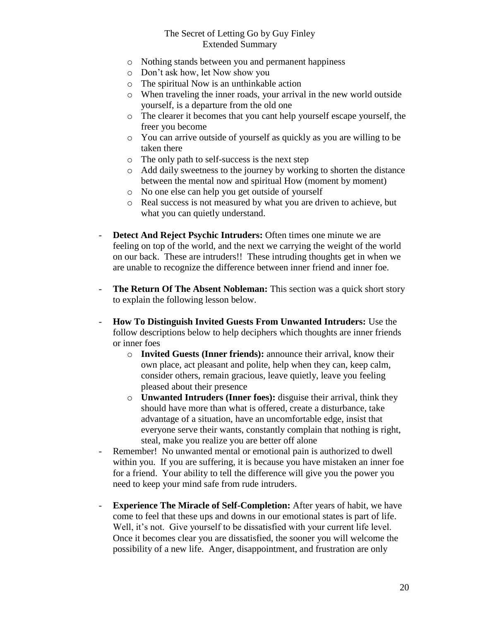- o Nothing stands between you and permanent happiness
- o Don't ask how, let Now show you
- o The spiritual Now is an unthinkable action
- o When traveling the inner roads, your arrival in the new world outside yourself, is a departure from the old one
- o The clearer it becomes that you cant help yourself escape yourself, the freer you become
- o You can arrive outside of yourself as quickly as you are willing to be taken there
- o The only path to self-success is the next step
- o Add daily sweetness to the journey by working to shorten the distance between the mental now and spiritual How (moment by moment)
- o No one else can help you get outside of yourself
- o Real success is not measured by what you are driven to achieve, but what you can quietly understand.
- **Detect And Reject Psychic Intruders:** Often times one minute we are feeling on top of the world, and the next we carrying the weight of the world on our back. These are intruders!! These intruding thoughts get in when we are unable to recognize the difference between inner friend and inner foe.
- **The Return Of The Absent Nobleman:** This section was a quick short story to explain the following lesson below.
- **How To Distinguish Invited Guests From Unwanted Intruders:** Use the follow descriptions below to help deciphers which thoughts are inner friends or inner foes
	- o **Invited Guests (Inner friends):** announce their arrival, know their own place, act pleasant and polite, help when they can, keep calm, consider others, remain gracious, leave quietly, leave you feeling pleased about their presence
	- o **Unwanted Intruders (Inner foes):** disguise their arrival, think they should have more than what is offered, create a disturbance, take advantage of a situation, have an uncomfortable edge, insist that everyone serve their wants, constantly complain that nothing is right, steal, make you realize you are better off alone
- Remember! No unwanted mental or emotional pain is authorized to dwell within you. If you are suffering, it is because you have mistaken an inner foe for a friend. Your ability to tell the difference will give you the power you need to keep your mind safe from rude intruders.
- **Experience The Miracle of Self-Completion:** After years of habit, we have come to feel that these ups and downs in our emotional states is part of life. Well, it's not. Give yourself to be dissatisfied with your current life level. Once it becomes clear you are dissatisfied, the sooner you will welcome the possibility of a new life. Anger, disappointment, and frustration are only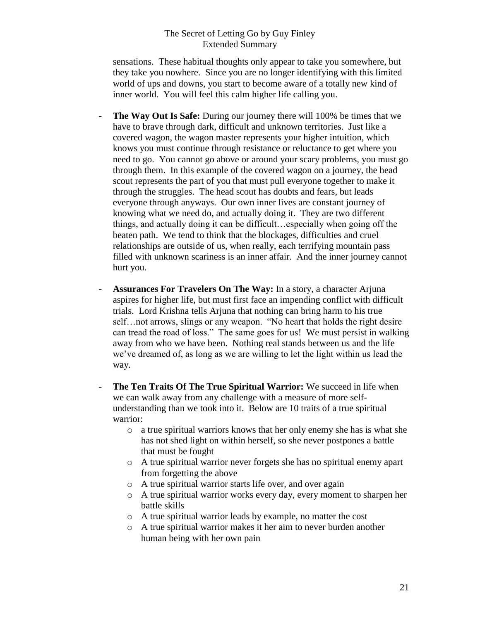sensations. These habitual thoughts only appear to take you somewhere, but they take you nowhere. Since you are no longer identifying with this limited world of ups and downs, you start to become aware of a totally new kind of inner world. You will feel this calm higher life calling you.

- **The Way Out Is Safe:** During our journey there will 100% be times that we have to brave through dark, difficult and unknown territories. Just like a covered wagon, the wagon master represents your higher intuition, which knows you must continue through resistance or reluctance to get where you need to go. You cannot go above or around your scary problems, you must go through them. In this example of the covered wagon on a journey, the head scout represents the part of you that must pull everyone together to make it through the struggles. The head scout has doubts and fears, but leads everyone through anyways. Our own inner lives are constant journey of knowing what we need do, and actually doing it. They are two different things, and actually doing it can be difficult…especially when going off the beaten path. We tend to think that the blockages, difficulties and cruel relationships are outside of us, when really, each terrifying mountain pass filled with unknown scariness is an inner affair. And the inner journey cannot hurt you.
- **Assurances For Travelers On The Way:** In a story, a character Arjuna aspires for higher life, but must first face an impending conflict with difficult trials. Lord Krishna tells Arjuna that nothing can bring harm to his true self…not arrows, slings or any weapon. "No heart that holds the right desire can tread the road of loss." The same goes for us! We must persist in walking away from who we have been. Nothing real stands between us and the life we've dreamed of, as long as we are willing to let the light within us lead the way.
- **The Ten Traits Of The True Spiritual Warrior:** We succeed in life when we can walk away from any challenge with a measure of more selfunderstanding than we took into it. Below are 10 traits of a true spiritual warrior:
	- o a true spiritual warriors knows that her only enemy she has is what she has not shed light on within herself, so she never postpones a battle that must be fought
	- o A true spiritual warrior never forgets she has no spiritual enemy apart from forgetting the above
	- o A true spiritual warrior starts life over, and over again
	- o A true spiritual warrior works every day, every moment to sharpen her battle skills
	- o A true spiritual warrior leads by example, no matter the cost
	- o A true spiritual warrior makes it her aim to never burden another human being with her own pain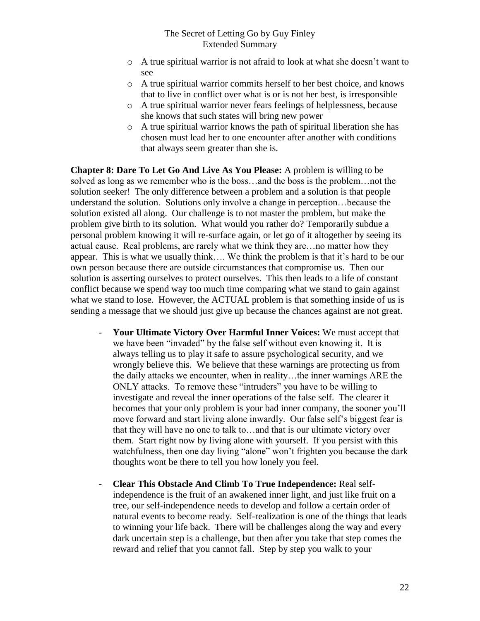- o A true spiritual warrior is not afraid to look at what she doesn't want to see
- o A true spiritual warrior commits herself to her best choice, and knows that to live in conflict over what is or is not her best, is irresponsible
- o A true spiritual warrior never fears feelings of helplessness, because she knows that such states will bring new power
- o A true spiritual warrior knows the path of spiritual liberation she has chosen must lead her to one encounter after another with conditions that always seem greater than she is.

**Chapter 8: Dare To Let Go And Live As You Please:** A problem is willing to be solved as long as we remember who is the boss…and the boss is the problem…not the solution seeker! The only difference between a problem and a solution is that people understand the solution. Solutions only involve a change in perception…because the solution existed all along. Our challenge is to not master the problem, but make the problem give birth to its solution. What would you rather do? Temporarily subdue a personal problem knowing it will re-surface again, or let go of it altogether by seeing its actual cause. Real problems, are rarely what we think they are…no matter how they appear. This is what we usually think…. We think the problem is that it's hard to be our own person because there are outside circumstances that compromise us. Then our solution is asserting ourselves to protect ourselves. This then leads to a life of constant conflict because we spend way too much time comparing what we stand to gain against what we stand to lose. However, the ACTUAL problem is that something inside of us is sending a message that we should just give up because the chances against are not great.

- **Your Ultimate Victory Over Harmful Inner Voices:** We must accept that we have been "invaded" by the false self without even knowing it. It is always telling us to play it safe to assure psychological security, and we wrongly believe this. We believe that these warnings are protecting us from the daily attacks we encounter, when in reality…the inner warnings ARE the ONLY attacks. To remove these "intruders" you have to be willing to investigate and reveal the inner operations of the false self. The clearer it becomes that your only problem is your bad inner company, the sooner you'll move forward and start living alone inwardly. Our false self's biggest fear is that they will have no one to talk to…and that is our ultimate victory over them. Start right now by living alone with yourself. If you persist with this watchfulness, then one day living "alone" won't frighten you because the dark thoughts wont be there to tell you how lonely you feel.
- **Clear This Obstacle And Climb To True Independence:** Real selfindependence is the fruit of an awakened inner light, and just like fruit on a tree, our self-independence needs to develop and follow a certain order of natural events to become ready. Self-realization is one of the things that leads to winning your life back. There will be challenges along the way and every dark uncertain step is a challenge, but then after you take that step comes the reward and relief that you cannot fall. Step by step you walk to your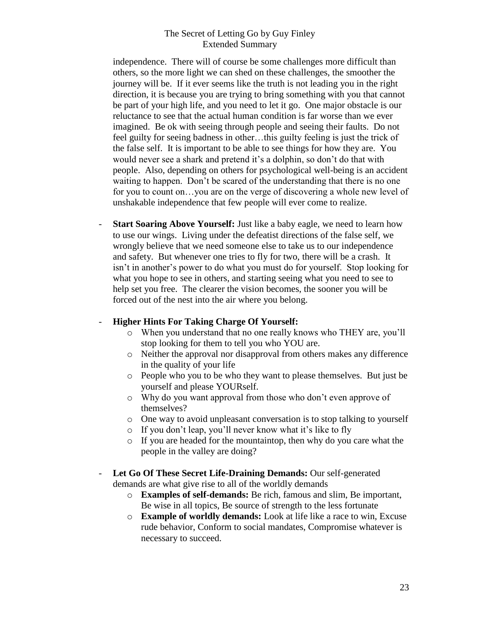independence. There will of course be some challenges more difficult than others, so the more light we can shed on these challenges, the smoother the journey will be. If it ever seems like the truth is not leading you in the right direction, it is because you are trying to bring something with you that cannot be part of your high life, and you need to let it go. One major obstacle is our reluctance to see that the actual human condition is far worse than we ever imagined. Be ok with seeing through people and seeing their faults. Do not feel guilty for seeing badness in other…this guilty feeling is just the trick of the false self. It is important to be able to see things for how they are. You would never see a shark and pretend it's a dolphin, so don't do that with people. Also, depending on others for psychological well-being is an accident waiting to happen. Don't be scared of the understanding that there is no one for you to count on…you are on the verge of discovering a whole new level of unshakable independence that few people will ever come to realize.

**Start Soaring Above Yourself:** Just like a baby eagle, we need to learn how to use our wings. Living under the defeatist directions of the false self, we wrongly believe that we need someone else to take us to our independence and safety. But whenever one tries to fly for two, there will be a crash. It isn't in another's power to do what you must do for yourself. Stop looking for what you hope to see in others, and starting seeing what you need to see to help set you free. The clearer the vision becomes, the sooner you will be forced out of the nest into the air where you belong.

## - **Higher Hints For Taking Charge Of Yourself:**

- o When you understand that no one really knows who THEY are, you'll stop looking for them to tell you who YOU are.
- o Neither the approval nor disapproval from others makes any difference in the quality of your life
- o People who you to be who they want to please themselves. But just be yourself and please YOURself.
- o Why do you want approval from those who don't even approve of themselves?
- o One way to avoid unpleasant conversation is to stop talking to yourself
- o If you don't leap, you'll never know what it's like to fly
- o If you are headed for the mountaintop, then why do you care what the people in the valley are doing?
- **Let Go Of These Secret Life-Draining Demands:** Our self-generated demands are what give rise to all of the worldly demands
	- o **Examples of self-demands:** Be rich, famous and slim, Be important, Be wise in all topics, Be source of strength to the less fortunate
	- o **Example of worldly demands:** Look at life like a race to win, Excuse rude behavior, Conform to social mandates, Compromise whatever is necessary to succeed.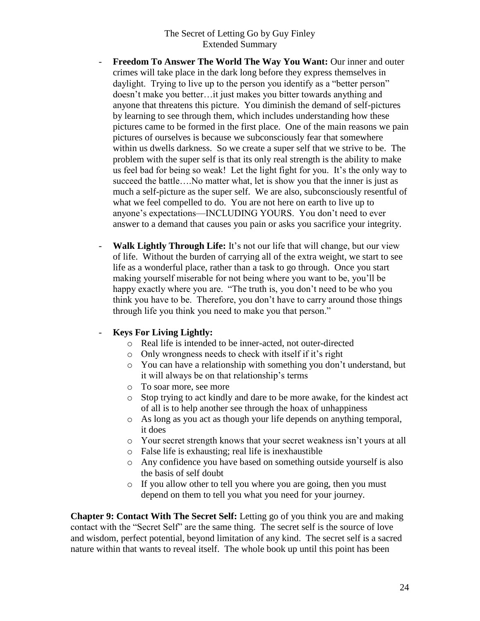- **Freedom To Answer The World The Way You Want:** Our inner and outer crimes will take place in the dark long before they express themselves in daylight. Trying to live up to the person you identify as a "better person" doesn't make you better…it just makes you bitter towards anything and anyone that threatens this picture. You diminish the demand of self-pictures by learning to see through them, which includes understanding how these pictures came to be formed in the first place. One of the main reasons we pain pictures of ourselves is because we subconsciously fear that somewhere within us dwells darkness. So we create a super self that we strive to be. The problem with the super self is that its only real strength is the ability to make us feel bad for being so weak! Let the light fight for you. It's the only way to succeed the battle….No matter what, let is show you that the inner is just as much a self-picture as the super self. We are also, subconsciously resentful of what we feel compelled to do. You are not here on earth to live up to anyone's expectations—INCLUDING YOURS. You don't need to ever answer to a demand that causes you pain or asks you sacrifice your integrity.
- **Walk Lightly Through Life:** It's not our life that will change, but our view of life. Without the burden of carrying all of the extra weight, we start to see life as a wonderful place, rather than a task to go through. Once you start making yourself miserable for not being where you want to be, you'll be happy exactly where you are. "The truth is, you don't need to be who you think you have to be. Therefore, you don't have to carry around those things through life you think you need to make you that person."

## - **Keys For Living Lightly:**

- o Real life is intended to be inner-acted, not outer-directed
- o Only wrongness needs to check with itself if it's right
- o You can have a relationship with something you don't understand, but it will always be on that relationship's terms
- o To soar more, see more
- o Stop trying to act kindly and dare to be more awake, for the kindest act of all is to help another see through the hoax of unhappiness
- o As long as you act as though your life depends on anything temporal, it does
- o Your secret strength knows that your secret weakness isn't yours at all
- o False life is exhausting; real life is inexhaustible
- o Any confidence you have based on something outside yourself is also the basis of self doubt
- o If you allow other to tell you where you are going, then you must depend on them to tell you what you need for your journey.

**Chapter 9: Contact With The Secret Self:** Letting go of you think you are and making contact with the "Secret Self" are the same thing. The secret self is the source of love and wisdom, perfect potential, beyond limitation of any kind. The secret self is a sacred nature within that wants to reveal itself. The whole book up until this point has been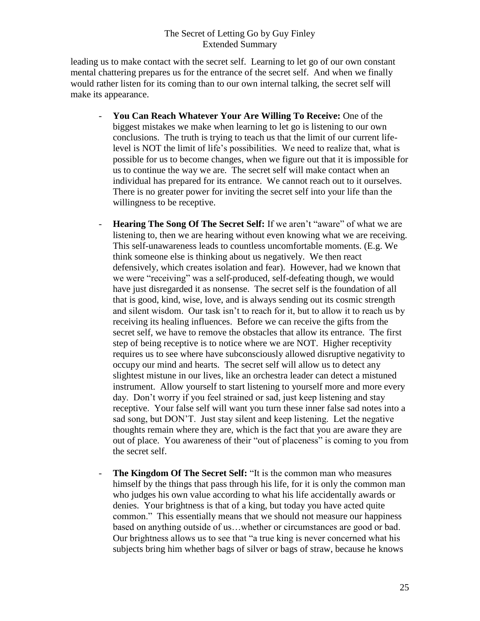leading us to make contact with the secret self. Learning to let go of our own constant mental chattering prepares us for the entrance of the secret self. And when we finally would rather listen for its coming than to our own internal talking, the secret self will make its appearance.

- **You Can Reach Whatever Your Are Willing To Receive:** One of the biggest mistakes we make when learning to let go is listening to our own conclusions. The truth is trying to teach us that the limit of our current lifelevel is NOT the limit of life's possibilities. We need to realize that, what is possible for us to become changes, when we figure out that it is impossible for us to continue the way we are. The secret self will make contact when an individual has prepared for its entrance. We cannot reach out to it ourselves. There is no greater power for inviting the secret self into your life than the willingness to be receptive.
- **Hearing The Song Of The Secret Self:** If we aren't "aware" of what we are listening to, then we are hearing without even knowing what we are receiving. This self-unawareness leads to countless uncomfortable moments. (E.g. We think someone else is thinking about us negatively. We then react defensively, which creates isolation and fear). However, had we known that we were "receiving" was a self-produced, self-defeating though, we would have just disregarded it as nonsense. The secret self is the foundation of all that is good, kind, wise, love, and is always sending out its cosmic strength and silent wisdom. Our task isn't to reach for it, but to allow it to reach us by receiving its healing influences. Before we can receive the gifts from the secret self, we have to remove the obstacles that allow its entrance. The first step of being receptive is to notice where we are NOT. Higher receptivity requires us to see where have subconsciously allowed disruptive negativity to occupy our mind and hearts. The secret self will allow us to detect any slightest mistune in our lives, like an orchestra leader can detect a mistuned instrument. Allow yourself to start listening to yourself more and more every day. Don't worry if you feel strained or sad, just keep listening and stay receptive. Your false self will want you turn these inner false sad notes into a sad song, but DON'T. Just stay silent and keep listening. Let the negative thoughts remain where they are, which is the fact that you are aware they are out of place. You awareness of their "out of placeness" is coming to you from the secret self.
- **The Kingdom Of The Secret Self:** "It is the common man who measures himself by the things that pass through his life, for it is only the common man who judges his own value according to what his life accidentally awards or denies. Your brightness is that of a king, but today you have acted quite common." This essentially means that we should not measure our happiness based on anything outside of us…whether or circumstances are good or bad. Our brightness allows us to see that "a true king is never concerned what his subjects bring him whether bags of silver or bags of straw, because he knows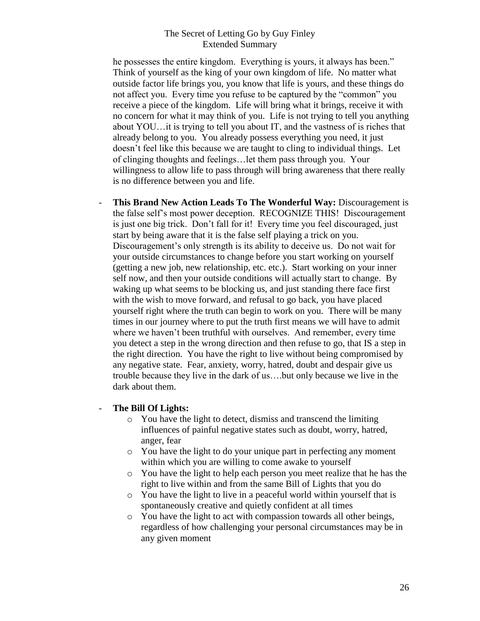he possesses the entire kingdom. Everything is yours, it always has been." Think of yourself as the king of your own kingdom of life. No matter what outside factor life brings you, you know that life is yours, and these things do not affect you. Every time you refuse to be captured by the "common" you receive a piece of the kingdom. Life will bring what it brings, receive it with no concern for what it may think of you. Life is not trying to tell you anything about YOU…it is trying to tell you about IT, and the vastness of is riches that already belong to you. You already possess everything you need, it just doesn't feel like this because we are taught to cling to individual things. Let of clinging thoughts and feelings…let them pass through you. Your willingness to allow life to pass through will bring awareness that there really is no difference between you and life.

- **This Brand New Action Leads To The Wonderful Way:** Discouragement is the false self's most power deception. RECOGNIZE THIS! Discouragement is just one big trick. Don't fall for it! Every time you feel discouraged, just start by being aware that it is the false self playing a trick on you. Discouragement's only strength is its ability to deceive us. Do not wait for your outside circumstances to change before you start working on yourself (getting a new job, new relationship, etc. etc.). Start working on your inner self now, and then your outside conditions will actually start to change. By waking up what seems to be blocking us, and just standing there face first with the wish to move forward, and refusal to go back, you have placed yourself right where the truth can begin to work on you. There will be many times in our journey where to put the truth first means we will have to admit where we haven't been truthful with ourselves. And remember, every time you detect a step in the wrong direction and then refuse to go, that IS a step in the right direction. You have the right to live without being compromised by any negative state. Fear, anxiety, worry, hatred, doubt and despair give us trouble because they live in the dark of us….but only because we live in the dark about them.

#### - **The Bill Of Lights:**

- o You have the light to detect, dismiss and transcend the limiting influences of painful negative states such as doubt, worry, hatred, anger, fear
- o You have the light to do your unique part in perfecting any moment within which you are willing to come awake to yourself
- o You have the light to help each person you meet realize that he has the right to live within and from the same Bill of Lights that you do
- o You have the light to live in a peaceful world within yourself that is spontaneously creative and quietly confident at all times
- o You have the light to act with compassion towards all other beings, regardless of how challenging your personal circumstances may be in any given moment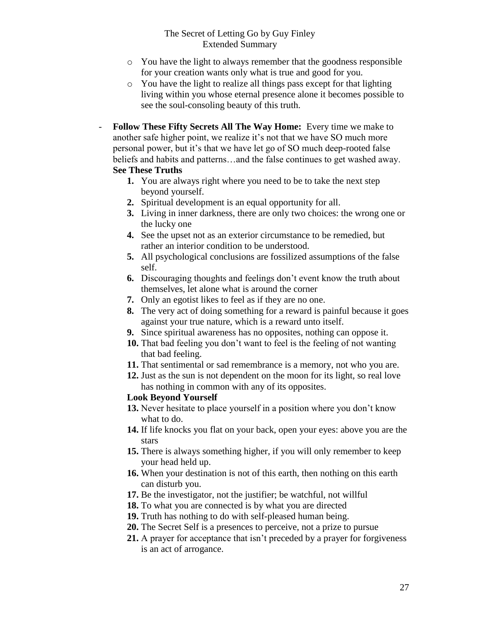- o You have the light to always remember that the goodness responsible for your creation wants only what is true and good for you.
- o You have the light to realize all things pass except for that lighting living within you whose eternal presence alone it becomes possible to see the soul-consoling beauty of this truth.
- **Follow These Fifty Secrets All The Way Home:** Every time we make to another safe higher point, we realize it's not that we have SO much more personal power, but it's that we have let go of SO much deep-rooted false beliefs and habits and patterns…and the false continues to get washed away. **See These Truths**
	- **1.** You are always right where you need to be to take the next step beyond yourself.
	- **2.** Spiritual development is an equal opportunity for all.
	- **3.** Living in inner darkness, there are only two choices: the wrong one or the lucky one
	- **4.** See the upset not as an exterior circumstance to be remedied, but rather an interior condition to be understood.
	- **5.** All psychological conclusions are fossilized assumptions of the false self.
	- **6.** Discouraging thoughts and feelings don't event know the truth about themselves, let alone what is around the corner
	- **7.** Only an egotist likes to feel as if they are no one.
	- **8.** The very act of doing something for a reward is painful because it goes against your true nature, which is a reward unto itself.
	- **9.** Since spiritual awareness has no opposites, nothing can oppose it.
	- **10.** That bad feeling you don't want to feel is the feeling of not wanting that bad feeling.
	- **11.** That sentimental or sad remembrance is a memory, not who you are.
	- **12.** Just as the sun is not dependent on the moon for its light, so real love has nothing in common with any of its opposites.

## **Look Beyond Yourself**

- **13.** Never hesitate to place yourself in a position where you don't know what to do.
- **14.** If life knocks you flat on your back, open your eyes: above you are the stars
- **15.** There is always something higher, if you will only remember to keep your head held up.
- **16.** When your destination is not of this earth, then nothing on this earth can disturb you.
- **17.** Be the investigator, not the justifier; be watchful, not willful
- **18.** To what you are connected is by what you are directed
- **19.** Truth has nothing to do with self-pleased human being.
- **20.** The Secret Self is a presences to perceive, not a prize to pursue
- **21.** A prayer for acceptance that isn't preceded by a prayer for forgiveness is an act of arrogance.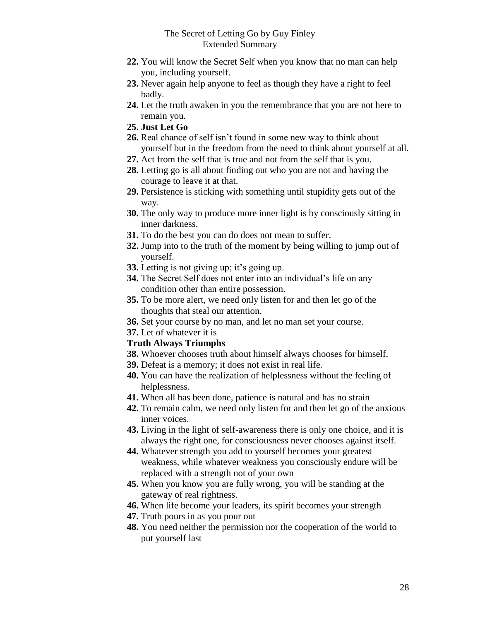- **22.** You will know the Secret Self when you know that no man can help you, including yourself.
- **23.** Never again help anyone to feel as though they have a right to feel badly.
- **24.** Let the truth awaken in you the remembrance that you are not here to remain you.
- **25. Just Let Go**
- **26.** Real chance of self isn't found in some new way to think about yourself but in the freedom from the need to think about yourself at all.
- **27.** Act from the self that is true and not from the self that is you.
- **28.** Letting go is all about finding out who you are not and having the courage to leave it at that.
- **29.** Persistence is sticking with something until stupidity gets out of the way.
- **30.** The only way to produce more inner light is by consciously sitting in inner darkness.
- **31.** To do the best you can do does not mean to suffer.
- **32.** Jump into to the truth of the moment by being willing to jump out of yourself.
- **33.** Letting is not giving up; it's going up.
- **34.** The Secret Self does not enter into an individual's life on any condition other than entire possession.
- **35.** To be more alert, we need only listen for and then let go of the thoughts that steal our attention.
- **36.** Set your course by no man, and let no man set your course.
- **37.** Let of whatever it is

## **Truth Always Triumphs**

- **38.** Whoever chooses truth about himself always chooses for himself.
- **39.** Defeat is a memory; it does not exist in real life.
- **40.** You can have the realization of helplessness without the feeling of helplessness.
- **41.** When all has been done, patience is natural and has no strain
- **42.** To remain calm, we need only listen for and then let go of the anxious inner voices.
- **43.** Living in the light of self-awareness there is only one choice, and it is always the right one, for consciousness never chooses against itself.
- **44.** Whatever strength you add to yourself becomes your greatest weakness, while whatever weakness you consciously endure will be replaced with a strength not of your own
- **45.** When you know you are fully wrong, you will be standing at the gateway of real rightness.
- **46.** When life become your leaders, its spirit becomes your strength
- **47.** Truth pours in as you pour out
- **48.** You need neither the permission nor the cooperation of the world to put yourself last